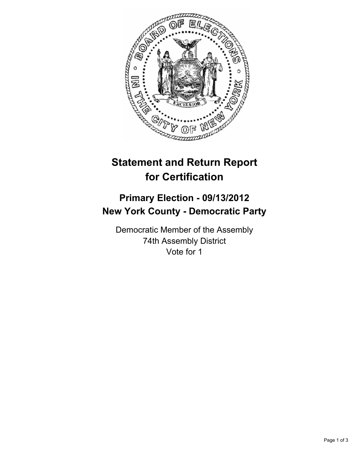

## **Statement and Return Report for Certification**

## **Primary Election - 09/13/2012 New York County - Democratic Party**

Democratic Member of the Assembly 74th Assembly District Vote for 1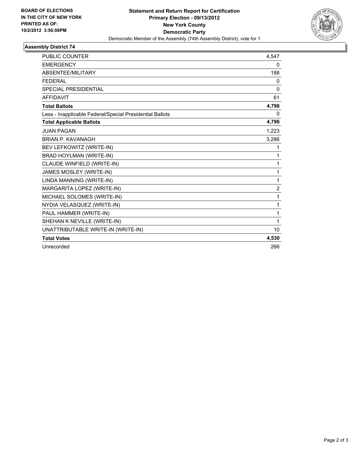

## **Assembly District 74**

| <b>PUBLIC COUNTER</b>                                    | 4,547          |
|----------------------------------------------------------|----------------|
| <b>EMERGENCY</b>                                         | 0              |
| <b>ABSENTEE/MILITARY</b>                                 | 188            |
| <b>FEDERAL</b>                                           | 0              |
| <b>SPECIAL PRESIDENTIAL</b>                              | $\Omega$       |
| <b>AFFIDAVIT</b>                                         | 61             |
| <b>Total Ballots</b>                                     | 4,796          |
| Less - Inapplicable Federal/Special Presidential Ballots | $\Omega$       |
| <b>Total Applicable Ballots</b>                          | 4,796          |
| <b>JUAN PAGAN</b>                                        | 1,223          |
| <b>BRIAN P. KAVANAGH</b>                                 | 3,286          |
| BEV LEFKOWITZ (WRITE-IN)                                 | 1              |
| <b>BRAD HOYLMAN (WRITE-IN)</b>                           | 1              |
| CLAUDE WINFIELD (WRITE-IN)                               | 1              |
| JAMES MOSLEY (WRITE-IN)                                  | 1              |
| LINDA MANNING (WRITE-IN)                                 | 1              |
| MARGARITA LOPEZ (WRITE-IN)                               | $\overline{2}$ |
| MICHAEL SOLOMES (WRITE-IN)                               | 1              |
| NYDIA VELASQUEZ (WRITE-IN)                               | 1              |
| PAUL HAMMER (WRITE-IN)                                   | 1              |
| SHEHAN K NEVILLE (WRITE-IN)                              | 1              |
| UNATTRIBUTABLE WRITE-IN (WRITE-IN)                       | 10             |
| <b>Total Votes</b>                                       | 4,530          |
| Unrecorded                                               | 266            |